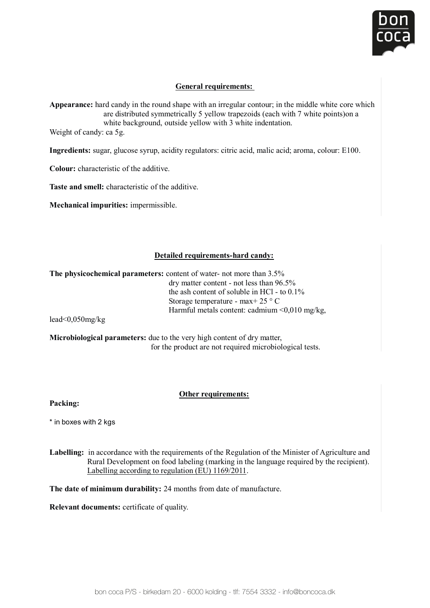

# General requirements:

**Appearance:** hard candy in the round shape with an irregular contour; in the middle white core which required in the round shape with an irregular contour, in the induct white core where the varie distributed symmetrically 5 yellow trapezoids (each with 7 white points) on a white background, outside yellow with 3 white indentation.<br>Weight of early in 5.5

Weight of candy: ca 5g.  $\alpha$   $\beta$ .

**Ingredients:** sugar, glucose syrup, acidity regulators: citric acid, malic acid; aroma, colour: E100. **Appearance:** sugar, gracosc syrup, actuity regulators. Crine actu, mane actu, aroma, colour. Lroo.

**Colour:** characteristic of the additive. **Ingredients:** Colours: city accepts: city accepts: city accepts: colours: colours: E100. colour: E100. colours: E white background, outside years with 3 which 3 which 3 which 3 which 3 which 3 which 3 which 3 which 3 which 3 which 3 which 3 which 3 which 3 which 3 which 3 which 3 which 3 which 3 which 3 which 3 which 3 which 3 which 3

**Taste and smell:** characteristic of the additive.  **Colours and sinch.** characteristic of the Tosta and small: characters of  $\overline{\mathcal{L}}$ 

**Mechanical impurities:** impermissible. **Ingredient in according to the sympath of the sympath regulators:** containing the sympath of the sympath of the s<br>*Machanical impurities*: imparamiccible 

#### $\eta_{\text{total}}$  parameters in the physical parameters: **Detailed requirements-hard candy:**

The physicochemical parameters: content of water- not more than 3.5% dry matter content - not less than 96.5%<br>dry matter content - not less than 96.5% the ash content: content of soluble in HCl - to  $0.1\%$ Harmful metals content: cadmium <0,010 mg/kg, lesd content - not less than 96.010 mg/kg, less than 96.95% mg/kg, less than 96.95% mg/kg, less than 96.91% mg/kg, less than 96.91% mg/kg, less than 96.91% mg/kg, less than 96. Storage temperature - max+ 25 ° C

 $\frac{1}{2}$  for  $\frac{1}{2}$  are not required microbiological tests.  $\text{lead}\leq 0.050\,\text{mg/kg}$ 

**OUT THER REFLUENCES**<br>
for the product are not required microbiological tests. **Microbiological parameters:** due to the very high content of dry matter, **Microbiological parameters:** due to the very high content of dry matter,

#### **Other requirements:**

**Labelling:** in accordance with the requirements of the Regulation of the Regulation of the Minister of Agriculture and Agriculture and Agriculture and Agriculture and Agriculture and Agriculture and Agriculture and Agricu Rural Development on food labeling (marking in the language required by the recipient). **Packing:** 

 $\dot{\phantom{\phi}}$  in boxes with 2 kas \* in boxes with 2 kgs and the Regulation of the Minister of Agriculture and Agriculture and Agriculture and Agriculture and Agriculture and Agriculture and Agriculture and Agriculture and Agriculture and Agriculture and Ag

**Labelling:** in accordance with the requirements of the Regulation of the Minister of Agriculture and<br> **Regulation** (constitute in the larges asseming the the regulation) Rural Development on food labeling (marking in the language required by the recipient). **Relevant documents:** certificate of quality. Labelling according to regulation (EU) 1169/2011.

**The date of minimum durability:** 24 months from date of manufacture.

**Relevant documents:** certificate of quality.